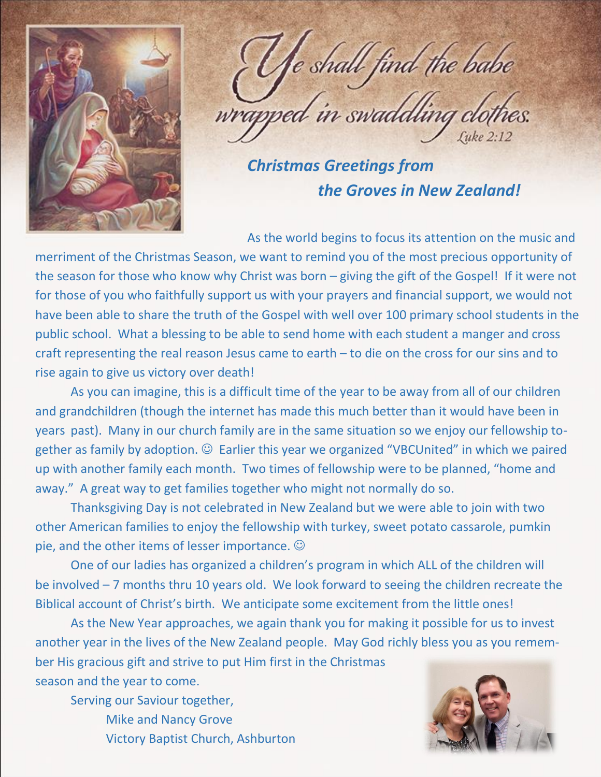

e shall find the babe wrapped in swaddling clott

*Christmas Greetings from the Groves in New Zealand!*

As the world begins to focus its attention on the music and

merriment of the Christmas Season, we want to remind you of the most precious opportunity of the season for those who know why Christ was born – giving the gift of the Gospel! If it were not for those of you who faithfully support us with your prayers and financial support, we would not have been able to share the truth of the Gospel with well over 100 primary school students in the public school. What a blessing to be able to send home with each student a manger and cross craft representing the real reason Jesus came to earth – to die on the cross for our sins and to rise again to give us victory over death!

As you can imagine, this is a difficult time of the year to be away from all of our children and grandchildren (though the internet has made this much better than it would have been in years past). Many in our church family are in the same situation so we enjoy our fellowship together as family by adoption.  $\odot$  Earlier this year we organized "VBCUnited" in which we paired up with another family each month. Two times of fellowship were to be planned, "home and away." A great way to get families together who might not normally do so.

Thanksgiving Day is not celebrated in New Zealand but we were able to join with two other American families to enjoy the fellowship with turkey, sweet potato cassarole, pumkin pie, and the other items of lesser importance.

One of our ladies has organized a children's program in which ALL of the children will be involved – 7 months thru 10 years old. We look forward to seeing the children recreate the Biblical account of Christ's birth. We anticipate some excitement from the little ones!

As the New Year approaches, we again thank you for making it possible for us to invest another year in the lives of the New Zealand people. May God richly bless you as you remember His gracious gift and strive to put Him first in the Christmas season and the year to come.

Serving our Saviour together, Mike and Nancy Grove Victory Baptist Church, Ashburton